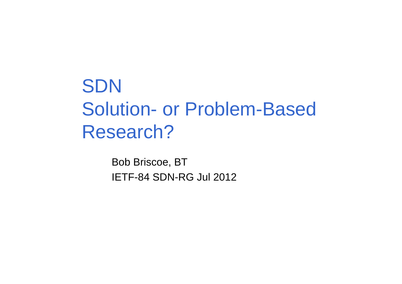## **SDN** Solution- or Problem-Based Research?

Bob Briscoe, BTIETF-84 SDN-RG Jul 2012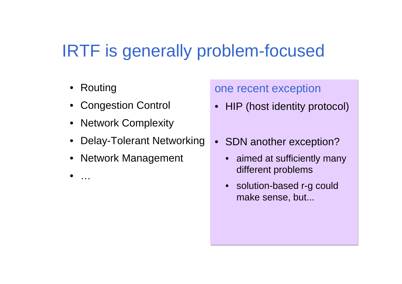## IRTF is generally problem-focused

- •Routing
- Congestion Control
- Network Complexity
- •Delay-Tolerant Networking
- •Network Management
- •…

one recent exception

- $\bullet$ HIP (host identity protocol)
- SDN another exception?
	- $\bullet$  aimed at sufficiently many different problems
	- • solution-based r-g could make sense, but...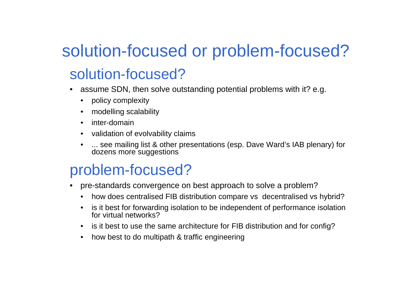# solution-focused or problem-focused?

#### solution-focused?

- • assume SDN, then solve outstanding potential problems with it? e.g.
	- $\bullet$ policy complexity
	- •modelling scalability
	- $\bullet$ inter-domain
	- validation of evolvability claims
	- ... see mailing list & other presentations (esp. Dave Ward's IAB plenary) for dozens more suggestions

#### problem-focused?

- pre-standards convergence on best approach to solve a problem?•
	- $\bullet$ how does centralised FIB distribution compare vs decentralised vs hybrid?
	- $\bullet$  is it best for forwarding isolation to be independent of performance isolation for virtual networks?
	- is it best to use the same architecture for FIB distribution and for config?
	- how best to do multipath & traffic engineering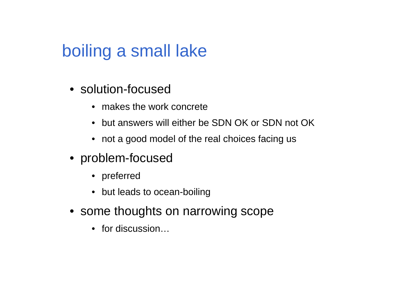### boiling a small lake

- solution-focused
	- makes the work concrete
	- but answers will either be SDN OK or SDN not OK
	- not a good model of the real choices facing us
- problem-focused
	- preferred
	- but leads to ocean-boiling
- some thoughts on narrowing scope
	- for discussion…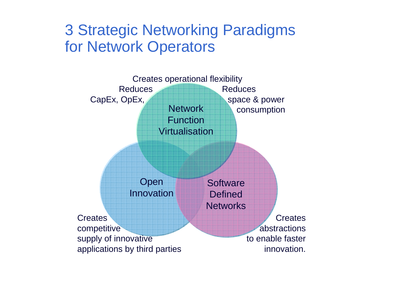#### 3 Strategic Networking Paradigmsfor Network Operators

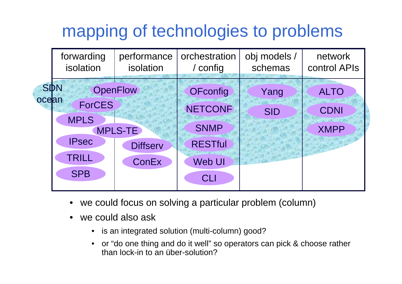## mapping of technologies to problems



- •we could focus on solving a particular problem (column)
- • we could also ask
	- •is an integrated solution (multi-column) good?
	- or "do one thing and do it well" so operators can pick & choose rather than lock-in to an über-solution?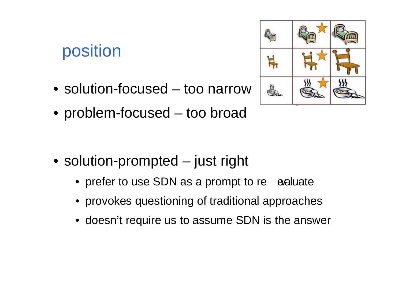## position

- solution-focused too narrow
- problem-focused too broad

- solution-prompted just right
	- prefer to use SDN as a prompt to re  $-$  evaluate
	- provokes questioning of traditional approaches
	- doesn't require us to assume SDN is the answer